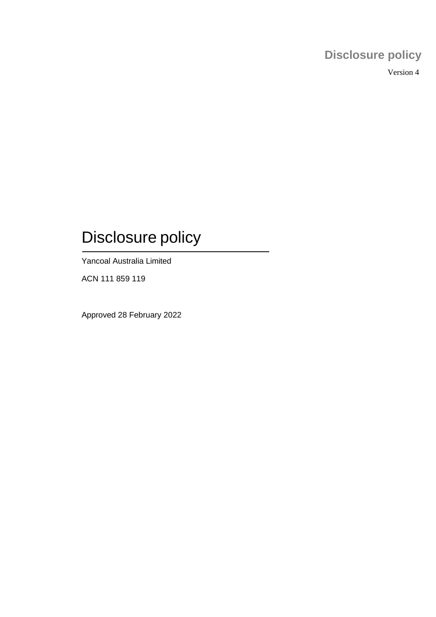## **Disclosure policy**

Version 4

# Disclosure policy

Yancoal Australia Limited

ACN 111 859 119

Approved 28 February 2022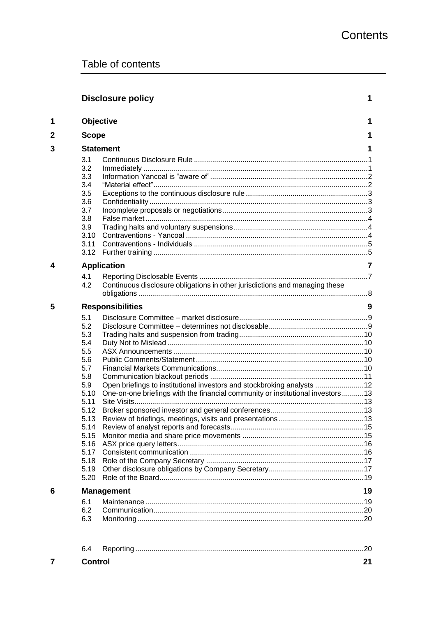|   |                                                                                                                                                     | <b>Disclosure policy</b>                                                                                                                                  | 1  |  |  |  |  |  |
|---|-----------------------------------------------------------------------------------------------------------------------------------------------------|-----------------------------------------------------------------------------------------------------------------------------------------------------------|----|--|--|--|--|--|
| 1 | Objective<br>1                                                                                                                                      |                                                                                                                                                           |    |  |  |  |  |  |
| 2 | <b>Scope</b>                                                                                                                                        |                                                                                                                                                           |    |  |  |  |  |  |
| 3 | <b>Statement</b>                                                                                                                                    |                                                                                                                                                           |    |  |  |  |  |  |
|   | 3.1<br>3.2<br>3.3<br>3.4<br>3.5<br>3.6<br>3.7<br>3.8<br>3.9<br>3.10<br>3.11                                                                         |                                                                                                                                                           |    |  |  |  |  |  |
| 4 | <b>Application</b>                                                                                                                                  |                                                                                                                                                           | 7  |  |  |  |  |  |
|   | 4.1<br>4.2                                                                                                                                          | Continuous disclosure obligations in other jurisdictions and managing these                                                                               |    |  |  |  |  |  |
| 5 | <b>Responsibilities</b>                                                                                                                             |                                                                                                                                                           | 9  |  |  |  |  |  |
|   | 5.1<br>5.2<br>5.3<br>5.4<br>5.5<br>5.6<br>5.7<br>5.8<br>5.9<br>5.10<br>5.11<br>5.12<br>5.13<br>5.14<br>5.15<br>5.16<br>5.17<br>5.18<br>5.19<br>5.20 | Open briefings to institutional investors and stockbroking analysts 12<br>One-on-one briefings with the financial community or institutional investors 13 |    |  |  |  |  |  |
| 6 | <b>Management</b>                                                                                                                                   |                                                                                                                                                           | 19 |  |  |  |  |  |
|   | 6.1<br>6.2<br>6.3                                                                                                                                   |                                                                                                                                                           |    |  |  |  |  |  |

| Control |  |
|---------|--|

<span id="page-1-0"></span> $\overline{\mathbf{7}}$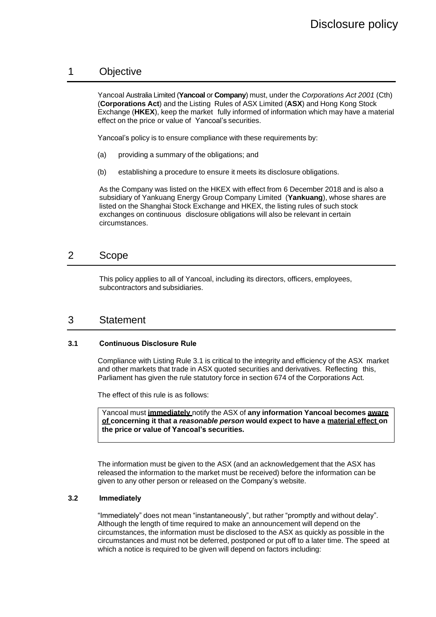## 1 Objective

Yancoal Australia Limited (**Yancoal** or **Company**) must, under the *Corporations Act 2001* (Cth) (**Corporations Act**) and the Listing Rules of ASX Limited (**ASX**) and Hong Kong Stock Exchange (**HKEX**), keep the market fully informed of information which may have a material effect on the price or value of Yancoal's securities.

Yancoal's policy is to ensure compliance with these requirements by:

- (a) providing a summary of the obligations; and
- (b) establishing a procedure to ensure it meets its disclosure obligations.

As the Company was listed on the HKEX with effect from 6 December 2018 and is also a subsidiary of Yankuang Energy Group Company Limited (**Yankuang**), whose shares are listed on the Shanghai Stock Exchange and HKEX, the listing rules of such stock exchanges on continuous disclosure obligations will also be relevant in certain circumstances.

## <span id="page-2-0"></span>2 Scope

This policy applies to all of Yancoal, including its directors, officers, employees, subcontractors and subsidiaries.

## <span id="page-2-1"></span>3 Statement

#### <span id="page-2-2"></span>**3.1 Continuous Disclosure Rule**

Compliance with Listing Rule 3.1 is critical to the integrity and efficiency of the ASX market and other markets that trade in ASX quoted securities and derivatives. Reflecting this, Parliament has given the rule statutory force in section 674 of the Corporations Act.

The effect of this rule is as follows:

Yancoal must **immediately** notify the ASX of **any information Yancoal becomes aware of concerning it that a** *reasonable person* **would expect to have a material effect on the price or value of Yancoal's securities.**

The information must be given to the ASX (and an acknowledgement that the ASX has released the information to the market must be received) before the information can be given to any other person or released on the Company's website.

#### <span id="page-2-3"></span>**3.2 Immediately**

"Immediately" does not mean "instantaneously", but rather "promptly and without delay". Although the length of time required to make an announcement will depend on the circumstances, the information must be disclosed to the ASX as quickly as possible in the circumstances and must not be deferred, postponed or put off to a later time. The speed at which a notice is required to be given will depend on factors including: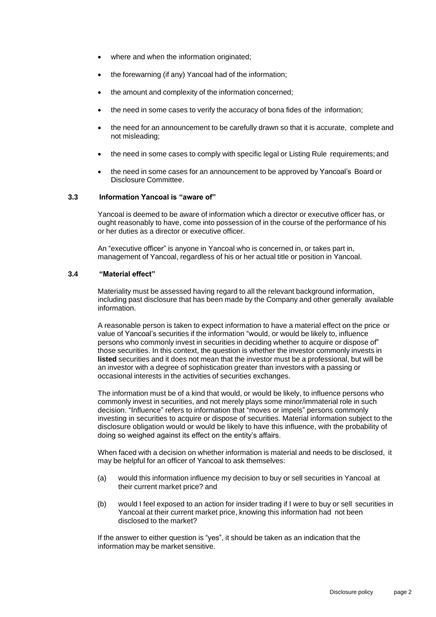- where and when the information originated;
- the forewarning (if any) Yancoal had of the information;
- the amount and complexity of the information concerned;
- the need in some cases to verify the accuracy of bona fides of the information;
- the need for an announcement to be carefully drawn so that it is accurate, complete and not misleading;
- the need in some cases to comply with specific legal or Listing Rule requirements; and
- the need in some cases for an announcement to be approved by Yancoal's Board or Disclosure Committee.

#### <span id="page-3-0"></span>**3.3 Information Yancoal is "aware of"**

Yancoal is deemed to be aware of information which a director or executive officer has, or ought reasonably to have, come into possession of in the course of the performance of his or her duties as a director or executive officer.

An "executive officer" is anyone in Yancoal who is concerned in, or takes part in, management of Yancoal, regardless of his or her actual title or position in Yancoal.

#### <span id="page-3-1"></span>**3.4 "Material effect"**

Materiality must be assessed having regard to all the relevant background information, including past disclosure that has been made by the Company and other generally available information.

A reasonable person is taken to expect information to have a material effect on the price or value of Yancoal's securities if the information "would, or would be likely to, influence persons who commonly invest in securities in deciding whether to acquire or dispose of" those securities. In this context, the question is whether the investor commonly invests in **listed** securities and it does not mean that the investor must be a professional, but will be an investor with a degree of sophistication greater than investors with a passing or occasional interests in the activities of securities exchanges.

The information must be of a kind that would, or would be likely, to influence persons who commonly invest in securities, and not merely plays some minor/immaterial role in such decision. "Influence" refers to information that "moves or impels" persons commonly investing in securities to acquire or dispose of securities. Material information subject to the disclosure obligation would or would be likely to have this influence, with the probability of doing so weighed against its effect on the entity's affairs.

When faced with a decision on whether information is material and needs to be disclosed, it may be helpful for an officer of Yancoal to ask themselves:

- (a) would this information influence my decision to buy or sell securities in Yancoal at their current market price? and
- (b) would I feel exposed to an action for insider trading if I were to buy or sell securities in Yancoal at their current market price, knowing this information had not been disclosed to the market?

If the answer to either question is "yes", it should be taken as an indication that the information may be market sensitive.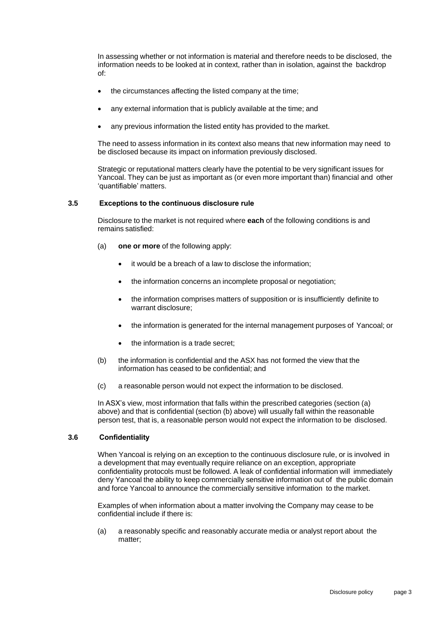In assessing whether or not information is material and therefore needs to be disclosed, the information needs to be looked at in context, rather than in isolation, against the backdrop of:

- the circumstances affecting the listed company at the time;
- any external information that is publicly available at the time; and
- any previous information the listed entity has provided to the market.

The need to assess information in its context also means that new information may need to be disclosed because its impact on information previously disclosed.

Strategic or reputational matters clearly have the potential to be very significant issues for Yancoal. They can be just as important as (or even more important than) financial and other 'quantifiable' matters.

#### <span id="page-4-0"></span>**3.5 Exceptions to the continuous disclosure rule**

Disclosure to the market is not required where **each** of the following conditions is and remains satisfied:

- (a) **one or more** of the following apply:
	- it would be a breach of a law to disclose the information;
	- the information concerns an incomplete proposal or negotiation;
	- the information comprises matters of supposition or is insufficiently definite to warrant disclosure;
	- the information is generated for the internal management purposes of Yancoal; or
	- the information is a trade secret;
- (b) the information is confidential and the ASX has not formed the view that the information has ceased to be confidential; and
- (c) a reasonable person would not expect the information to be disclosed.

In ASX's view, most information that falls within the prescribed categories (section (a) above) and that is confidential (section (b) above) will usually fall within the reasonable person test, that is, a reasonable person would not expect the information to be disclosed.

#### <span id="page-4-1"></span>**3.6 Confidentiality**

When Yancoal is relying on an exception to the continuous disclosure rule, or is involved in a development that may eventually require reliance on an exception, appropriate confidentiality protocols must be followed. A leak of confidential information will immediately deny Yancoal the ability to keep commercially sensitive information out of the public domain and force Yancoal to announce the commercially sensitive information to the market.

Examples of when information about a matter involving the Company may cease to be confidential include if there is:

(a) a reasonably specific and reasonably accurate media or analyst report about the matter;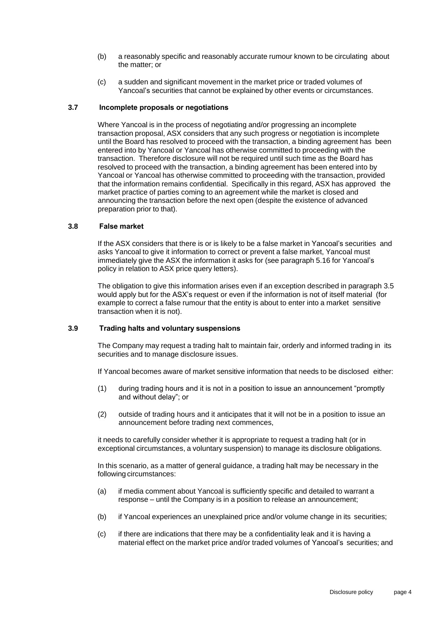- (b) a reasonably specific and reasonably accurate rumour known to be circulating about the matter; or
- (c) a sudden and significant movement in the market price or traded volumes of Yancoal's securities that cannot be explained by other events or circumstances.

#### <span id="page-5-0"></span>**3.7 Incomplete proposals or negotiations**

Where Yancoal is in the process of negotiating and/or progressing an incomplete transaction proposal, ASX considers that any such progress or negotiation is incomplete until the Board has resolved to proceed with the transaction, a binding agreement has been entered into by Yancoal or Yancoal has otherwise committed to proceeding with the transaction. Therefore disclosure will not be required until such time as the Board has resolved to proceed with the transaction, a binding agreement has been entered into by Yancoal or Yancoal has otherwise committed to proceeding with the transaction, provided that the information remains confidential. Specifically in this regard, ASX has approved the market practice of parties coming to an agreement while the market is closed and announcing the transaction before the next open (despite the existence of advanced preparation prior to that).

#### <span id="page-5-1"></span>**3.8 False market**

If the ASX considers that there is or is likely to be a false market in Yancoal's securities and asks Yancoal to give it information to correct or prevent a false market, Yancoal must immediately give the ASX the information it asks for (see paragraph 5.16 for Yancoal's policy in relation to ASX price query letters).

The obligation to give this information arises even if an exception described in paragraph [3.5](#page-4-0) would apply but for the ASX's request or even if the information is not of itself material (for example to correct a false rumour that the entity is about to enter into a market sensitive transaction when it is not).

#### <span id="page-5-2"></span>**3.9 Trading halts and voluntary suspensions**

The Company may request a trading halt to maintain fair, orderly and informed trading in its securities and to manage disclosure issues.

If Yancoal becomes aware of market sensitive information that needs to be disclosed either:

- (1) during trading hours and it is not in a position to issue an announcement "promptly and without delay"; or
- (2) outside of trading hours and it anticipates that it will not be in a position to issue an announcement before trading next commences,

it needs to carefully consider whether it is appropriate to request a trading halt (or in exceptional circumstances, a voluntary suspension) to manage its disclosure obligations.

In this scenario, as a matter of general guidance, a trading halt may be necessary in the following circumstances:

- (a) if media comment about Yancoal is sufficiently specific and detailed to warrant a response – until the Company is in a position to release an announcement;
- (b) if Yancoal experiences an unexplained price and/or volume change in its securities;
- (c) if there are indications that there may be a confidentiality leak and it is having a material effect on the market price and/or traded volumes of Yancoal's securities; and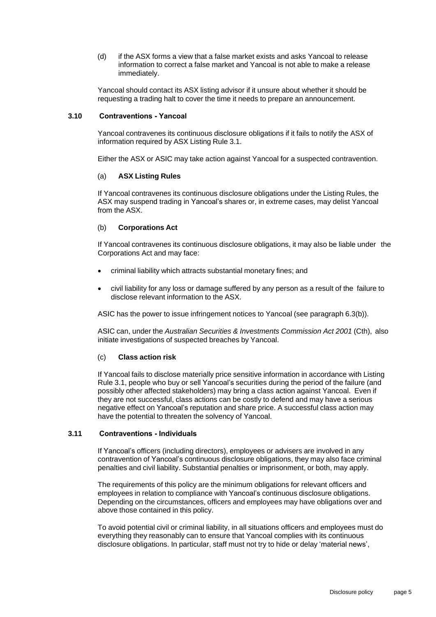(d) if the ASX forms a view that a false market exists and asks Yancoal to release information to correct a false market and Yancoal is not able to make a release immediately.

Yancoal should contact its ASX listing advisor if it unsure about whether it should be requesting a trading halt to cover the time it needs to prepare an announcement.

#### <span id="page-6-0"></span>**3.10 Contraventions - Yancoal**

Yancoal contravenes its continuous disclosure obligations if it fails to notify the ASX of information required by ASX Listing Rule 3.1.

Either the ASX or ASIC may take action against Yancoal for a suspected contravention.

#### (a) **ASX Listing Rules**

If Yancoal contravenes its continuous disclosure obligations under the Listing Rules, the ASX may suspend trading in Yancoal's shares or, in extreme cases, may delist Yancoal from the ASX.

#### (b) **Corporations Act**

If Yancoal contravenes its continuous disclosure obligations, it may also be liable under the Corporations Act and may face:

- criminal liability which attracts substantial monetary fines; and
- civil liability for any loss or damage suffered by any person as a result of the failure to disclose relevant information to the ASX.

ASIC has the power to issue infringement notices to Yancoal (see paragraph [6.3\(b\)\)](#page-20-4).

ASIC can, under the *Australian Securities & Investments Commission Act 2001* (Cth), also initiate investigations of suspected breaches by Yancoal.

#### (c) **Class action risk**

If Yancoal fails to disclose materially price sensitive information in accordance with Listing Rule 3.1, people who buy or sell Yancoal's securities during the period of the failure (and possibly other affected stakeholders) may bring a class action against Yancoal. Even if they are not successful, class actions can be costly to defend and may have a serious negative effect on Yancoal's reputation and share price. A successful class action may have the potential to threaten the solvency of Yancoal.

#### <span id="page-6-1"></span>**3.11 Contraventions - Individuals**

If Yancoal's officers (including directors), employees or advisers are involved in any contravention of Yancoal's continuous disclosure obligations, they may also face criminal penalties and civil liability. Substantial penalties or imprisonment, or both, may apply.

The requirements of this policy are the minimum obligations for relevant officers and employees in relation to compliance with Yancoal's continuous disclosure obligations. Depending on the circumstances, officers and employees may have obligations over and above those contained in this policy.

To avoid potential civil or criminal liability, in all situations officers and employees must do everything they reasonably can to ensure that Yancoal complies with its continuous disclosure obligations. In particular, staff must not try to hide or delay 'material news',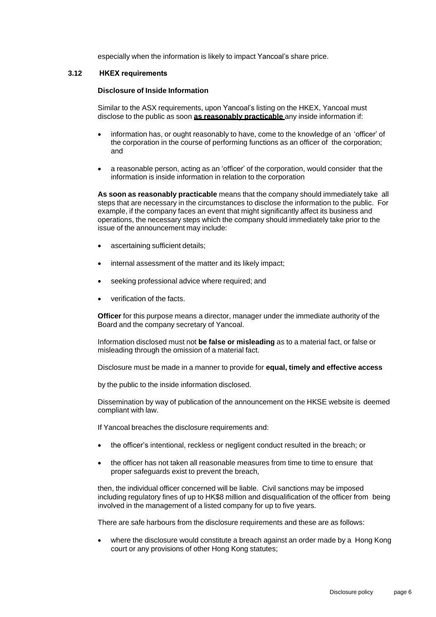especially when the information is likely to impact Yancoal's share price.

#### **3.12 HKEX requirements**

#### **Disclosure of Inside Information**

Similar to the ASX requirements, upon Yancoal's listing on the HKEX, Yancoal must disclose to the public as soon **as reasonably practicable** any inside information if:

- information has, or ought reasonably to have, come to the knowledge of an 'officer' of the corporation in the course of performing functions as an officer of the corporation; and
- a reasonable person, acting as an 'officer' of the corporation, would consider that the information is inside information in relation to the corporation

**As soon as reasonably practicable** means that the company should immediately take all steps that are necessary in the circumstances to disclose the information to the public. For example, if the company faces an event that might significantly affect its business and operations, the necessary steps which the company should immediately take prior to the issue of the announcement may include:

- ascertaining sufficient details;
- internal assessment of the matter and its likely impact;
- seeking professional advice where required; and
- verification of the facts.

**Officer** for this purpose means a director, manager under the immediate authority of the Board and the company secretary of Yancoal.

Information disclosed must not **be false or misleading** as to a material fact, or false or misleading through the omission of a material fact.

Disclosure must be made in a manner to provide for **equal, timely and effective access**

by the public to the inside information disclosed.

Dissemination by way of publication of the announcement on the HKSE website is deemed compliant with law.

If Yancoal breaches the disclosure requirements and:

- the officer's intentional, reckless or negligent conduct resulted in the breach; or
- the officer has not taken all reasonable measures from time to time to ensure that proper safeguards exist to prevent the breach,

then, the individual officer concerned will be liable. Civil sanctions may be imposed including regulatory fines of up to HK\$8 million and disqualification of the officer from being involved in the management of a listed company for up to five years.

There are safe harbours from the disclosure requirements and these are as follows:

• where the disclosure would constitute a breach against an order made by a Hong Kong court or any provisions of other Hong Kong statutes;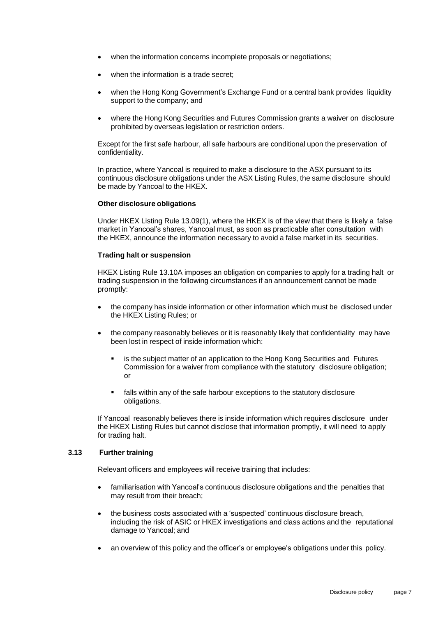- when the information concerns incomplete proposals or negotiations;
- when the information is a trade secret:
- when the Hong Kong Government's Exchange Fund or a central bank provides liquidity support to the company; and
- where the Hong Kong Securities and Futures Commission grants a waiver on disclosure prohibited by overseas legislation or restriction orders.

Except for the first safe harbour, all safe harbours are conditional upon the preservation of confidentiality.

In practice, where Yancoal is required to make a disclosure to the ASX pursuant to its continuous disclosure obligations under the ASX Listing Rules, the same disclosure should be made by Yancoal to the HKEX.

#### **Other disclosure obligations**

Under HKEX Listing Rule 13.09(1), where the HKEX is of the view that there is likely a false market in Yancoal's shares, Yancoal must, as soon as practicable after consultation with the HKEX, announce the information necessary to avoid a false market in its securities.

#### **Trading halt or suspension**

HKEX Listing Rule 13.10A imposes an obligation on companies to apply for a trading halt or trading suspension in the following circumstances if an announcement cannot be made promptly:

- the company has inside information or other information which must be disclosed under the HKEX Listing Rules; or
- the company reasonably believes or it is reasonably likely that confidentiality may have been lost in respect of inside information which:
	- is the subject matter of an application to the Hong Kong Securities and Futures Commission for a waiver from compliance with the statutory disclosure obligation; or
	- falls within any of the safe harbour exceptions to the statutory disclosure obligations.

If Yancoal reasonably believes there is inside information which requires disclosure under the HKEX Listing Rules but cannot disclose that information promptly, it will need to apply for trading halt.

#### **3.13 Further training**

Relevant officers and employees will receive training that includes:

- familiarisation with Yancoal's continuous disclosure obligations and the penalties that may result from their breach;
- the business costs associated with a 'suspected' continuous disclosure breach, including the risk of ASIC or HKEX investigations and class actions and the reputational damage to Yancoal; and
- an overview of this policy and the officer's or employee's obligations under this policy.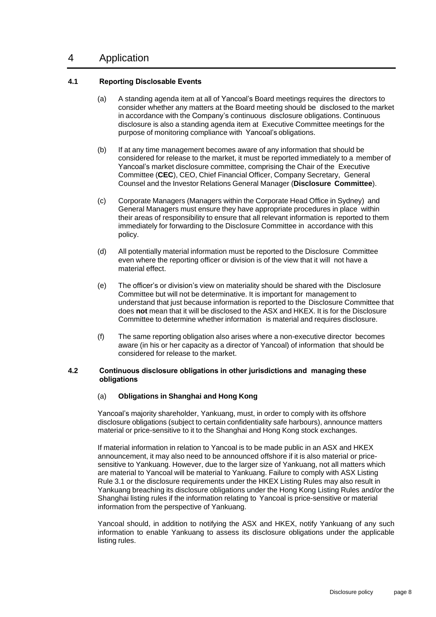## <span id="page-9-0"></span>4 Application

#### <span id="page-9-1"></span>**4.1 Reporting Disclosable Events**

- (a) A standing agenda item at all of Yancoal's Board meetings requires the directors to consider whether any matters at the Board meeting should be disclosed to the market in accordance with the Company's continuous disclosure obligations. Continuous disclosure is also a standing agenda item at Executive Committee meetings for the purpose of monitoring compliance with Yancoal's obligations.
- <span id="page-9-3"></span>(b) If at any time management becomes aware of any information that should be considered for release to the market, it must be reported immediately to a member of Yancoal's market disclosure committee, comprising the Chair of the Executive Committee (**CEC**), CEO, Chief Financial Officer, Company Secretary, General Counsel and the Investor Relations General Manager (**Disclosure Committee**).
- (c) Corporate Managers (Managers within the Corporate Head Office in Sydney) and General Managers must ensure they have appropriate procedures in place within their areas of responsibility to ensure that all relevant information is reported to them immediately for forwarding to the Disclosure Committee in accordance with this policy.
- (d) All potentially material information must be reported to the Disclosure Committee even where the reporting officer or division is of the view that it will not have a material effect.
- (e) The officer's or division's view on materiality should be shared with the Disclosure Committee but will not be determinative. It is important for management to understand that just because information is reported to the Disclosure Committee that does **not** mean that it will be disclosed to the ASX and HKEX. It is for the Disclosure Committee to determine whether information is material and requires disclosure.
- (f) The same reporting obligation also arises where a non-executive director becomes aware (in his or her capacity as a director of Yancoal) of information that should be considered for release to the market.

#### <span id="page-9-2"></span>**4.2 Continuous disclosure obligations in other jurisdictions and managing these obligations**

#### (a) **Obligations in Shanghai and Hong Kong**

Yancoal's majority shareholder, Yankuang, must, in order to comply with its offshore disclosure obligations (subject to certain confidentiality safe harbours), announce matters material or price-sensitive to it to the Shanghai and Hong Kong stock exchanges.

If material information in relation to Yancoal is to be made public in an ASX and HKEX announcement, it may also need to be announced offshore if it is also material or pricesensitive to Yankuang. However, due to the larger size of Yankuang, not all matters which are material to Yancoal will be material to Yankuang. Failure to comply with ASX Listing Rule 3.1 or the disclosure requirements under the HKEX Listing Rules may also result in Yankuang breaching its disclosure obligations under the Hong Kong Listing Rules and/or the Shanghai listing rules if the information relating to Yancoal is price-sensitive or material information from the perspective of Yankuang.

Yancoal should, in addition to notifying the ASX and HKEX, notify Yankuang of any such information to enable Yankuang to assess its disclosure obligations under the applicable listing rules.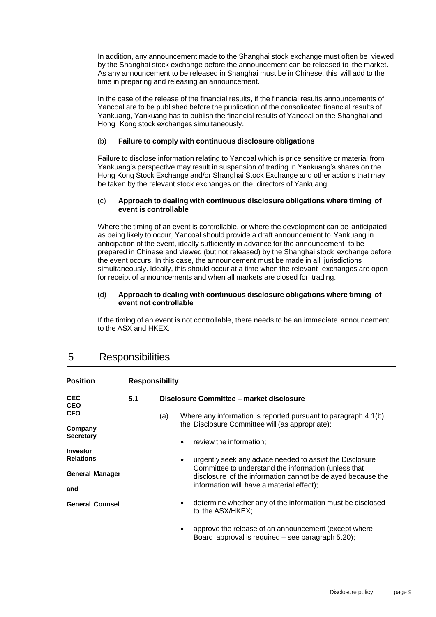In addition, any announcement made to the Shanghai stock exchange must often be viewed by the Shanghai stock exchange before the announcement can be released to the market. As any announcement to be released in Shanghai must be in Chinese, this will add to the time in preparing and releasing an announcement.

In the case of the release of the financial results, if the financial results announcements of Yancoal are to be published before the publication of the consolidated financial results of Yankuang, Yankuang has to publish the financial results of Yancoal on the Shanghai and Hong Kong stock exchanges simultaneously.

#### (b) **Failure to comply with continuous disclosure obligations**

Failure to disclose information relating to Yancoal which is price sensitive or material from Yankuang's perspective may result in suspension of trading in Yankuang's shares on the Hong Kong Stock Exchange and/or Shanghai Stock Exchange and other actions that may be taken by the relevant stock exchanges on the directors of Yankuang.

#### (c) **Approach to dealing with continuous disclosure obligations where timing of event is controllable**

Where the timing of an event is controllable, or where the development can be anticipated as being likely to occur, Yancoal should provide a draft announcement to Yankuang in anticipation of the event, ideally sufficiently in advance for the announcement to be prepared in Chinese and viewed (but not released) by the Shanghai stock exchange before the event occurs. In this case, the announcement must be made in all jurisdictions simultaneously. Ideally, this should occur at a time when the relevant exchanges are open for receipt of announcements and when all markets are closed for trading.

#### (d) **Approach to dealing with continuous disclosure obligations where timing of event not controllable**

If the timing of an event is not controllable, there needs to be an immediate announcement to the ASX and HKEX.

<span id="page-10-1"></span>

| <b>Position</b>             | <b>Responsibility</b> |                                                                                                                               |  |  |  |
|-----------------------------|-----------------------|-------------------------------------------------------------------------------------------------------------------------------|--|--|--|
| <b>CEC</b><br><b>CEO</b>    | 5.1                   | Disclosure Committee - market disclosure                                                                                      |  |  |  |
| <b>CFO</b>                  |                       | Where any information is reported pursuant to paragraph 4.1(b),<br>(a)                                                        |  |  |  |
| Company<br><b>Secretary</b> |                       | the Disclosure Committee will (as appropriate):                                                                               |  |  |  |
| <b>Investor</b>             |                       | review the information;<br>$\bullet$                                                                                          |  |  |  |
| <b>Relations</b>            |                       | urgently seek any advice needed to assist the Disclosure<br>$\bullet$<br>Committee to understand the information (unless that |  |  |  |
| <b>General Manager</b>      |                       | disclosure of the information cannot be delayed because the                                                                   |  |  |  |
| and                         |                       | information will have a material effect);                                                                                     |  |  |  |
| <b>General Counsel</b>      |                       | determine whether any of the information must be disclosed<br>٠<br>to the ASX/HKEX;                                           |  |  |  |
|                             |                       | approve the release of an announcement (except where<br>$\bullet$<br>Board approval is required - see paragraph 5.20);        |  |  |  |

## <span id="page-10-0"></span>5 Responsibilities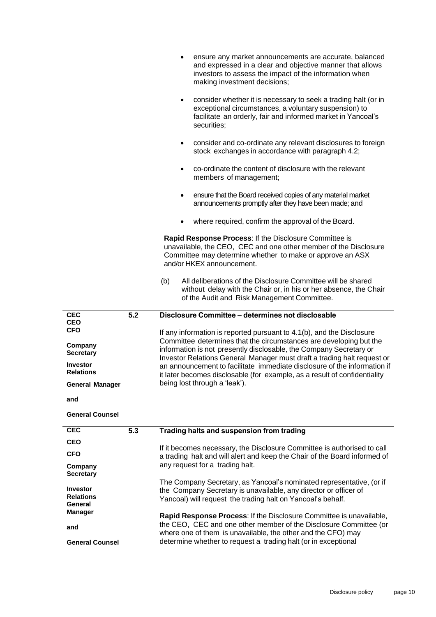|                                                 |                  | ensure any market announcements are accurate, balanced<br>and expressed in a clear and objective manner that allows<br>investors to assess the impact of the information when<br>making investment decisions;                                                              |
|-------------------------------------------------|------------------|----------------------------------------------------------------------------------------------------------------------------------------------------------------------------------------------------------------------------------------------------------------------------|
|                                                 |                  | consider whether it is necessary to seek a trading halt (or in<br>$\bullet$<br>exceptional circumstances, a voluntary suspension) to<br>facilitate an orderly, fair and informed market in Yancoal's<br>securities;                                                        |
|                                                 |                  | consider and co-ordinate any relevant disclosures to foreign<br>$\bullet$<br>stock exchanges in accordance with paragraph 4.2;                                                                                                                                             |
|                                                 |                  | co-ordinate the content of disclosure with the relevant<br>$\bullet$<br>members of management;                                                                                                                                                                             |
|                                                 |                  | ensure that the Board received copies of any material market<br>$\bullet$<br>announcements promptly after they have been made; and                                                                                                                                         |
|                                                 |                  | where required, confirm the approval of the Board.                                                                                                                                                                                                                         |
|                                                 |                  | Rapid Response Process: If the Disclosure Committee is<br>unavailable, the CEO, CEC and one other member of the Disclosure<br>Committee may determine whether to make or approve an ASX<br>and/or HKEX announcement.                                                       |
|                                                 |                  | All deliberations of the Disclosure Committee will be shared<br>(b)<br>without delay with the Chair or, in his or her absence, the Chair<br>of the Audit and Risk Management Committee.                                                                                    |
|                                                 |                  |                                                                                                                                                                                                                                                                            |
| <b>CEC</b>                                      | $\overline{5.2}$ | Disclosure Committee - determines not disclosable                                                                                                                                                                                                                          |
| <b>CEO</b><br><b>CFO</b>                        |                  | If any information is reported pursuant to 4.1(b), and the Disclosure                                                                                                                                                                                                      |
| Company<br><b>Secretary</b>                     |                  | Committee determines that the circumstances are developing but the<br>information is not presently disclosable, the Company Secretary or                                                                                                                                   |
| <b>Investor</b><br><b>Relations</b>             |                  | Investor Relations General Manager must draft a trading halt request or<br>an announcement to facilitate immediate disclosure of the information if                                                                                                                        |
| <b>General Manager</b>                          |                  | it later becomes disclosable (for example, as a result of confidentiality<br>being lost through a 'leak').                                                                                                                                                                 |
| and                                             |                  |                                                                                                                                                                                                                                                                            |
| <b>General Counsel</b>                          |                  |                                                                                                                                                                                                                                                                            |
| <b>CEC</b>                                      | 5.3              | Trading halts and suspension from trading                                                                                                                                                                                                                                  |
| <b>CEO</b>                                      |                  |                                                                                                                                                                                                                                                                            |
| <b>CFO</b>                                      |                  | If it becomes necessary, the Disclosure Committee is authorised to call<br>a trading halt and will alert and keep the Chair of the Board informed of                                                                                                                       |
| Company<br><b>Secretary</b>                     |                  | any request for a trading halt.                                                                                                                                                                                                                                            |
| <b>Investor</b><br><b>Relations</b><br>General  |                  | The Company Secretary, as Yancoal's nominated representative, (or if<br>the Company Secretary is unavailable, any director or officer of<br>Yancoal) will request the trading halt on Yancoal's behalf.                                                                    |
| <b>Manager</b><br>and<br><b>General Counsel</b> |                  | Rapid Response Process: If the Disclosure Committee is unavailable,<br>the CEO, CEC and one other member of the Disclosure Committee (or<br>where one of them is unavailable, the other and the CFO) may<br>determine whether to request a trading halt (or in exceptional |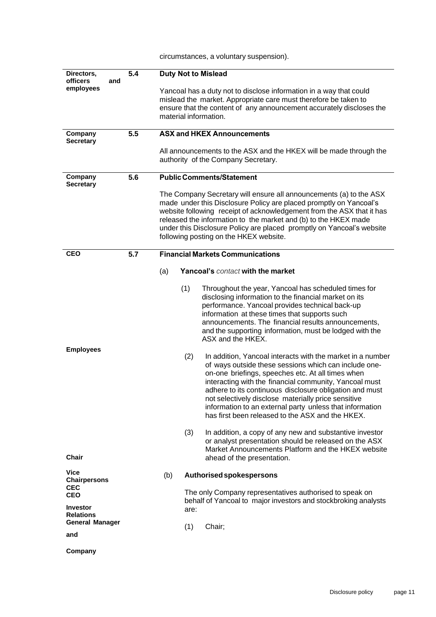| Directors,<br>officers<br>and                                              | 5.4 | <b>Duty Not to Mislead</b>                                                                                                                                                                                                                                                                                                                                                                                                                                                                                                                                                                                                                                                                                                                                                                                                                                                                                                                                                                                            |  |
|----------------------------------------------------------------------------|-----|-----------------------------------------------------------------------------------------------------------------------------------------------------------------------------------------------------------------------------------------------------------------------------------------------------------------------------------------------------------------------------------------------------------------------------------------------------------------------------------------------------------------------------------------------------------------------------------------------------------------------------------------------------------------------------------------------------------------------------------------------------------------------------------------------------------------------------------------------------------------------------------------------------------------------------------------------------------------------------------------------------------------------|--|
| employees                                                                  |     | Yancoal has a duty not to disclose information in a way that could<br>mislead the market. Appropriate care must therefore be taken to<br>ensure that the content of any announcement accurately discloses the<br>material information.                                                                                                                                                                                                                                                                                                                                                                                                                                                                                                                                                                                                                                                                                                                                                                                |  |
| Company<br><b>Secretary</b>                                                | 5.5 | <b>ASX and HKEX Announcements</b>                                                                                                                                                                                                                                                                                                                                                                                                                                                                                                                                                                                                                                                                                                                                                                                                                                                                                                                                                                                     |  |
|                                                                            |     | All announcements to the ASX and the HKEX will be made through the<br>authority of the Company Secretary.                                                                                                                                                                                                                                                                                                                                                                                                                                                                                                                                                                                                                                                                                                                                                                                                                                                                                                             |  |
| Company<br><b>Secretary</b>                                                | 5.6 | <b>Public Comments/Statement</b>                                                                                                                                                                                                                                                                                                                                                                                                                                                                                                                                                                                                                                                                                                                                                                                                                                                                                                                                                                                      |  |
|                                                                            |     | The Company Secretary will ensure all announcements (a) to the ASX<br>made under this Disclosure Policy are placed promptly on Yancoal's<br>website following receipt of acknowledgement from the ASX that it has<br>released the information to the market and (b) to the HKEX made<br>under this Disclosure Policy are placed promptly on Yancoal's website<br>following posting on the HKEX website.                                                                                                                                                                                                                                                                                                                                                                                                                                                                                                                                                                                                               |  |
| <b>CEO</b>                                                                 | 5.7 | <b>Financial Markets Communications</b>                                                                                                                                                                                                                                                                                                                                                                                                                                                                                                                                                                                                                                                                                                                                                                                                                                                                                                                                                                               |  |
| <b>Employees</b>                                                           |     | Yancoal's contact with the market<br>(a)<br>(1)<br>Throughout the year, Yancoal has scheduled times for<br>disclosing information to the financial market on its<br>performance. Yancoal provides technical back-up<br>information at these times that supports such<br>announcements. The financial results announcements,<br>and the supporting information, must be lodged with the<br>ASX and the HKEX.<br>(2)<br>In addition, Yancoal interacts with the market in a number<br>of ways outside these sessions which can include one-<br>on-one briefings, speeches etc. At all times when<br>interacting with the financial community, Yancoal must<br>adhere to its continuous disclosure obligation and must<br>not selectively disclose materially price sensitive<br>information to an external party unless that information<br>has first been released to the ASX and the HKEX.<br>(3)<br>In addition, a copy of any new and substantive investor<br>or analyst presentation should be released on the ASX |  |
| Chair                                                                      |     | Market Announcements Platform and the HKEX website<br>ahead of the presentation.                                                                                                                                                                                                                                                                                                                                                                                                                                                                                                                                                                                                                                                                                                                                                                                                                                                                                                                                      |  |
| Vice<br><b>Chairpersons</b><br><b>CEC</b><br><b>CEO</b><br><b>Investor</b> |     | Authorised spokespersons<br>(b)<br>The only Company representatives authorised to speak on<br>behalf of Yancoal to major investors and stockbroking analysts<br>are:                                                                                                                                                                                                                                                                                                                                                                                                                                                                                                                                                                                                                                                                                                                                                                                                                                                  |  |
| <b>Relations</b><br><b>General Manager</b>                                 |     | Chair;<br>(1)                                                                                                                                                                                                                                                                                                                                                                                                                                                                                                                                                                                                                                                                                                                                                                                                                                                                                                                                                                                                         |  |
| and                                                                        |     |                                                                                                                                                                                                                                                                                                                                                                                                                                                                                                                                                                                                                                                                                                                                                                                                                                                                                                                                                                                                                       |  |
| Company                                                                    |     |                                                                                                                                                                                                                                                                                                                                                                                                                                                                                                                                                                                                                                                                                                                                                                                                                                                                                                                                                                                                                       |  |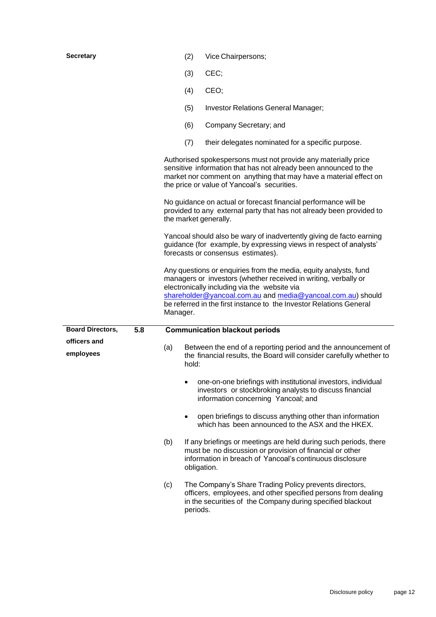| <b>Secretary</b>               | (2)                                                                                                                                                                              | Vice Chairpersons;                                                                                                                                                                                                                                                                                                        |  |  |
|--------------------------------|----------------------------------------------------------------------------------------------------------------------------------------------------------------------------------|---------------------------------------------------------------------------------------------------------------------------------------------------------------------------------------------------------------------------------------------------------------------------------------------------------------------------|--|--|
|                                | (3)                                                                                                                                                                              | CEC;                                                                                                                                                                                                                                                                                                                      |  |  |
|                                | (4)                                                                                                                                                                              | CEO;                                                                                                                                                                                                                                                                                                                      |  |  |
|                                | (5)                                                                                                                                                                              | Investor Relations General Manager;                                                                                                                                                                                                                                                                                       |  |  |
|                                | (6)                                                                                                                                                                              | Company Secretary; and                                                                                                                                                                                                                                                                                                    |  |  |
|                                | (7)                                                                                                                                                                              | their delegates nominated for a specific purpose.                                                                                                                                                                                                                                                                         |  |  |
|                                |                                                                                                                                                                                  | Authorised spokespersons must not provide any materially price<br>sensitive information that has not already been announced to the<br>market nor comment on anything that may have a material effect on<br>the price or value of Yancoal's securities.                                                                    |  |  |
|                                | No guidance on actual or forecast financial performance will be<br>provided to any external party that has not already been provided to<br>the market generally.                 |                                                                                                                                                                                                                                                                                                                           |  |  |
|                                | Yancoal should also be wary of inadvertently giving de facto earning<br>guidance (for example, by expressing views in respect of analysts'<br>forecasts or consensus estimates). |                                                                                                                                                                                                                                                                                                                           |  |  |
|                                | Manager.                                                                                                                                                                         | Any questions or enquiries from the media, equity analysts, fund<br>managers or investors (whether received in writing, verbally or<br>electronically including via the website via<br>shareholder@yancoal.com.au and media@yancoal.com.au) should<br>be referred in the first instance to the Investor Relations General |  |  |
| <b>Board Directors,</b><br>5.8 |                                                                                                                                                                                  | <b>Communication blackout periods</b>                                                                                                                                                                                                                                                                                     |  |  |
| officers and                   | Between the end of a reporting period and the announcement of<br>(a)<br>the financial results, the Board will consider carefully whether to<br>hold:                             |                                                                                                                                                                                                                                                                                                                           |  |  |
| employees                      |                                                                                                                                                                                  |                                                                                                                                                                                                                                                                                                                           |  |  |
|                                |                                                                                                                                                                                  | one-on-one briefings with institutional investors, individual<br>investors or stockbroking analysts to discuss financial<br>information concerning Yancoal; and                                                                                                                                                           |  |  |
|                                | $\bullet$                                                                                                                                                                        | open briefings to discuss anything other than information<br>which has been announced to the ASX and the HKEX.                                                                                                                                                                                                            |  |  |
|                                | (b)                                                                                                                                                                              | If any briefings or meetings are held during such periods, there<br>must be no discussion or provision of financial or other<br>information in breach of Yancoal's continuous disclosure<br>obligation.                                                                                                                   |  |  |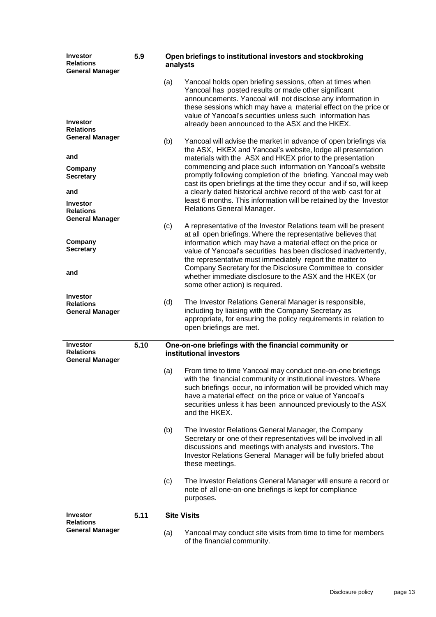| <b>Investor</b><br><b>Relations</b><br><b>General Manager</b> | 5.9  | Open briefings to institutional investors and stockbroking<br>analysts |                                                                                                                                                                                                                                                                                                                                                                     |
|---------------------------------------------------------------|------|------------------------------------------------------------------------|---------------------------------------------------------------------------------------------------------------------------------------------------------------------------------------------------------------------------------------------------------------------------------------------------------------------------------------------------------------------|
| <b>Investor</b><br><b>Relations</b>                           |      | (a)                                                                    | Yancoal holds open briefing sessions, often at times when<br>Yancoal has posted results or made other significant<br>announcements. Yancoal will not disclose any information in<br>these sessions which may have a material effect on the price or<br>value of Yancoal's securities unless such information has<br>already been announced to the ASX and the HKEX. |
| <b>General Manager</b><br>and                                 |      | (b)                                                                    | Yancoal will advise the market in advance of open briefings via<br>the ASX, HKEX and Yancoal's website, lodge all presentation<br>materials with the ASX and HKEX prior to the presentation                                                                                                                                                                         |
| Company<br><b>Secretary</b>                                   |      |                                                                        | commencing and place such information on Yancoal's website<br>promptly following completion of the briefing. Yancoal may web<br>cast its open briefings at the time they occur and if so, will keep                                                                                                                                                                 |
| and<br><b>Investor</b><br><b>Relations</b>                    |      |                                                                        | a clearly dated historical archive record of the web cast for at<br>least 6 months. This information will be retained by the Investor<br>Relations General Manager.                                                                                                                                                                                                 |
| <b>General Manager</b><br>Company                             |      | (c)                                                                    | A representative of the Investor Relations team will be present<br>at all open briefings. Where the representative believes that<br>information which may have a material effect on the price or                                                                                                                                                                    |
| <b>Secretary</b><br>and                                       |      |                                                                        | value of Yancoal's securities has been disclosed inadvertently,<br>the representative must immediately report the matter to<br>Company Secretary for the Disclosure Committee to consider                                                                                                                                                                           |
| <b>Investor</b>                                               |      |                                                                        | whether immediate disclosure to the ASX and the HKEX (or<br>some other action) is required.                                                                                                                                                                                                                                                                         |
| <b>Relations</b><br><b>General Manager</b>                    |      | (d)                                                                    | The Investor Relations General Manager is responsible,<br>including by liaising with the Company Secretary as<br>appropriate, for ensuring the policy requirements in relation to<br>open briefings are met.                                                                                                                                                        |
| <b>Investor</b><br><b>Relations</b><br><b>General Manager</b> | 5.10 |                                                                        | One-on-one briefings with the financial community or<br>institutional investors                                                                                                                                                                                                                                                                                     |
|                                                               |      | (a)                                                                    | From time to time Yancoal may conduct one-on-one briefings<br>with the financial community or institutional investors. Where<br>such briefings occur, no information will be provided which may<br>have a material effect on the price or value of Yancoal's<br>securities unless it has been announced previously to the ASX<br>and the HKEX.                      |
|                                                               |      | (b)                                                                    | The Investor Relations General Manager, the Company<br>Secretary or one of their representatives will be involved in all<br>discussions and meetings with analysts and investors. The<br>Investor Relations General Manager will be fully briefed about<br>these meetings.                                                                                          |
|                                                               |      | (c)                                                                    | The Investor Relations General Manager will ensure a record or<br>note of all one-on-one briefings is kept for compliance<br>purposes.                                                                                                                                                                                                                              |
| <b>Investor</b><br><b>Relations</b>                           | 5.11 |                                                                        | <b>Site Visits</b>                                                                                                                                                                                                                                                                                                                                                  |
| <b>General Manager</b>                                        |      | (a)                                                                    | Yancoal may conduct site visits from time to time for members<br>of the financial community.                                                                                                                                                                                                                                                                        |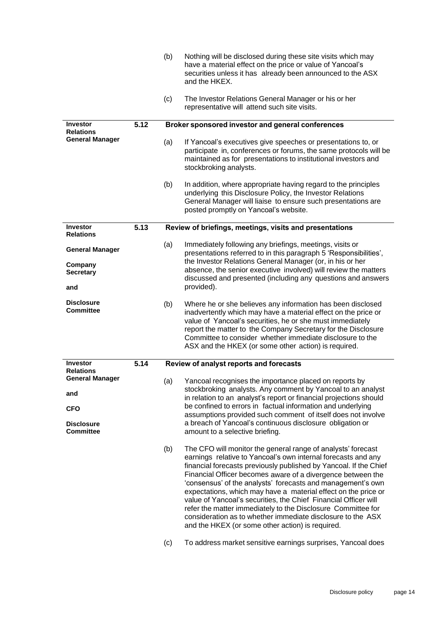|                                       |      | (b) | Nothing will be disclosed during these site visits which may<br>have a material effect on the price or value of Yancoal's<br>securities unless it has already been announced to the ASX<br>and the HKEX.                                                                                                                                                                                                                                                                                                                                                                                                                                                 |
|---------------------------------------|------|-----|----------------------------------------------------------------------------------------------------------------------------------------------------------------------------------------------------------------------------------------------------------------------------------------------------------------------------------------------------------------------------------------------------------------------------------------------------------------------------------------------------------------------------------------------------------------------------------------------------------------------------------------------------------|
|                                       |      | (c) | The Investor Relations General Manager or his or her<br>representative will attend such site visits.                                                                                                                                                                                                                                                                                                                                                                                                                                                                                                                                                     |
| <b>Investor</b><br><b>Relations</b>   | 5.12 |     | Broker sponsored investor and general conferences                                                                                                                                                                                                                                                                                                                                                                                                                                                                                                                                                                                                        |
| <b>General Manager</b>                |      | (a) | If Yancoal's executives give speeches or presentations to, or<br>participate in, conferences or forums, the same protocols will be<br>maintained as for presentations to institutional investors and<br>stockbroking analysts.                                                                                                                                                                                                                                                                                                                                                                                                                           |
|                                       |      | (b) | In addition, where appropriate having regard to the principles<br>underlying this Disclosure Policy, the Investor Relations<br>General Manager will liaise to ensure such presentations are<br>posted promptly on Yancoal's website.                                                                                                                                                                                                                                                                                                                                                                                                                     |
| <b>Investor</b><br><b>Relations</b>   | 5.13 |     | Review of briefings, meetings, visits and presentations                                                                                                                                                                                                                                                                                                                                                                                                                                                                                                                                                                                                  |
| <b>General Manager</b>                |      | (a) | Immediately following any briefings, meetings, visits or<br>presentations referred to in this paragraph 5 'Responsibilities',                                                                                                                                                                                                                                                                                                                                                                                                                                                                                                                            |
| Company<br><b>Secretary</b>           |      |     | the Investor Relations General Manager (or, in his or her<br>absence, the senior executive involved) will review the matters<br>discussed and presented (including any questions and answers                                                                                                                                                                                                                                                                                                                                                                                                                                                             |
| and                                   |      |     | provided).                                                                                                                                                                                                                                                                                                                                                                                                                                                                                                                                                                                                                                               |
| <b>Disclosure</b><br><b>Committee</b> |      | (b) | Where he or she believes any information has been disclosed<br>inadvertently which may have a material effect on the price or<br>value of Yancoal's securities, he or she must immediately<br>report the matter to the Company Secretary for the Disclosure<br>Committee to consider whether immediate disclosure to the<br>ASX and the HKEX (or some other action) is required.                                                                                                                                                                                                                                                                         |
| <b>Investor</b><br><b>Relations</b>   | 5.14 |     | Review of analyst reports and forecasts                                                                                                                                                                                                                                                                                                                                                                                                                                                                                                                                                                                                                  |
| <b>General Manager</b>                |      |     | (a) Yancoal recognises the importance placed on reports by                                                                                                                                                                                                                                                                                                                                                                                                                                                                                                                                                                                               |
| and                                   |      |     | stockbroking analysts. Any comment by Yancoal to an analyst<br>in relation to an analyst's report or financial projections should                                                                                                                                                                                                                                                                                                                                                                                                                                                                                                                        |
| <b>CFO</b>                            |      |     | be confined to errors in factual information and underlying<br>assumptions provided such comment of itself does not involve                                                                                                                                                                                                                                                                                                                                                                                                                                                                                                                              |
| <b>Disclosure</b><br><b>Committee</b> |      |     | a breach of Yancoal's continuous disclosure obligation or<br>amount to a selective briefing.                                                                                                                                                                                                                                                                                                                                                                                                                                                                                                                                                             |
|                                       |      | (b) | The CFO will monitor the general range of analysts' forecast<br>earnings relative to Yancoal's own internal forecasts and any<br>financial forecasts previously published by Yancoal. If the Chief<br>Financial Officer becomes aware of a divergence between the<br>'consensus' of the analysts' forecasts and management's own<br>expectations, which may have a material effect on the price or<br>value of Yancoal's securities, the Chief Financial Officer will<br>refer the matter immediately to the Disclosure Committee for<br>consideration as to whether immediate disclosure to the ASX<br>and the HKEX (or some other action) is required. |
|                                       |      | (c) | To address market sensitive earnings surprises, Yancoal does                                                                                                                                                                                                                                                                                                                                                                                                                                                                                                                                                                                             |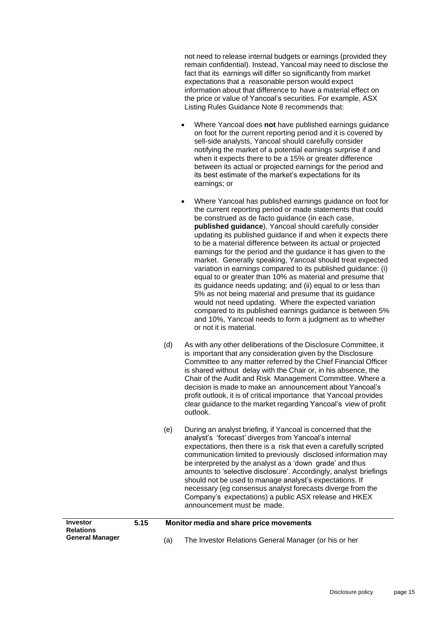not need to release internal budgets or earnings (provided they remain confidential). Instead, Yancoal may need to disclose the fact that its earnings will differ so significantly from market expectations that a reasonable person would expect information about that difference to have a material effect on the price or value of Yancoal's securities. For example, ASX Listing Rules Guidance Note 8 recommends that:

- Where Yancoal does **not** have published earnings guidance on foot for the current reporting period and it is covered by sell-side analysts, Yancoal should carefully consider notifying the market of a potential earnings surprise if and when it expects there to be a 15% or greater difference between its actual or projected earnings for the period and its best estimate of the market's expectations for its earnings; or
- Where Yancoal has published earnings guidance on foot for the current reporting period or made statements that could be construed as de facto guidance (in each case, **published guidance**), Yancoal should carefully consider updating its published guidance if and when it expects there to be a material difference between its actual or projected earnings for the period and the guidance it has given to the market. Generally speaking, Yancoal should treat expected variation in earnings compared to its published guidance: (i) equal to or greater than 10% as material and presume that its guidance needs updating; and (ii) equal to or less than 5% as not being material and presume that its guidance would not need updating. Where the expected variation compared to its published earnings guidance is between 5% and 10%, Yancoal needs to form a judgment as to whether or not it is material.
- (d) As with any other deliberations of the Disclosure Committee, it is important that any consideration given by the Disclosure Committee to any matter referred by the Chief Financial Officer is shared without delay with the Chair or, in his absence, the Chair of the Audit and Risk Management Committee. Where a decision is made to make an announcement about Yancoal's profit outlook, it is of critical importance that Yancoal provides clear guidance to the market regarding Yancoal's view of profit outlook.
- (e) During an analyst briefing, if Yancoal is concerned that the analyst's 'forecast' diverges from Yancoal's internal expectations, then there is a risk that even a carefully scripted communication limited to previously disclosed information may be interpreted by the analyst as a 'down grade' and thus amounts to 'selective disclosure'. Accordingly, analyst briefings should not be used to manage analyst's expectations. If necessary (eg consensus analyst forecasts diverge from the Company's expectations) a public ASX release and HKEX announcement must be made.

| <b>Investor</b><br><b>Relations</b> | 5.15 | Monitor media and share price movements               |
|-------------------------------------|------|-------------------------------------------------------|
| <b>General Manager</b>              |      | The Investor Relations General Manager (or his or her |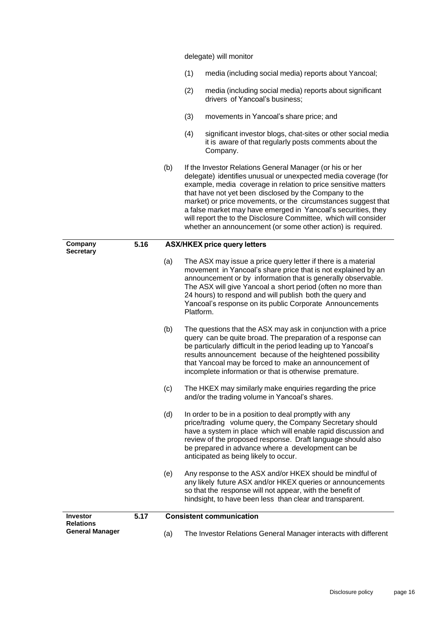delegate) will monitor

- (1) media (including social media) reports about Yancoal;
- (2) media (including social media) reports about significant drivers of Yancoal's business;
- (3) movements in Yancoal's share price; and
- (4) significant investor blogs, chat-sites or other social media it is aware of that regularly posts comments about the Company.
- (b) If the Investor Relations General Manager (or his or her delegate) identifies unusual or unexpected media coverage (for example, media coverage in relation to price sensitive matters that have not yet been disclosed by the Company to the market) or price movements, or the circumstances suggest that a false market may have emerged in Yancoal's securities, they will report the to the Disclosure Committee, which will consider whether an announcement (or some other action) is required.

## **Company Secretary 5.16 ASX/HKEX price query letters** (a) The ASX may issue a price query letter if there is a material movement in Yancoal's share price that is not explained by an announcement or by information that is generally observable. The ASX will give Yancoal a short period (often no more than 24 hours) to respond and will publish both the query and Yancoal's response on its public Corporate Announcements Platform. (b) The questions that the ASX may ask in conjunction with a price query can be quite broad. The preparation of a response can be particularly difficult in the period leading up to Yancoal's results announcement because of the heightened possibility that Yancoal may be forced to make an announcement of incomplete information or that is otherwise premature. (c) The HKEX may similarly make enquiries regarding the price and/or the trading volume in Yancoal's shares. (d) In order to be in a position to deal promptly with any price/trading volume query, the Company Secretary should have a system in place which will enable rapid discussion and review of the proposed response. Draft language should also be prepared in advance where a development can be anticipated as being likely to occur. (e) Any response to the ASX and/or HKEX should be mindful of any likely future ASX and/or HKEX queries or announcements so that the response will not appear, with the benefit of hindsight, to have been less than clear and transparent. **Investor Relations General Manager 5.17 Consistent communication** (a) The Investor Relations General Manager interacts with different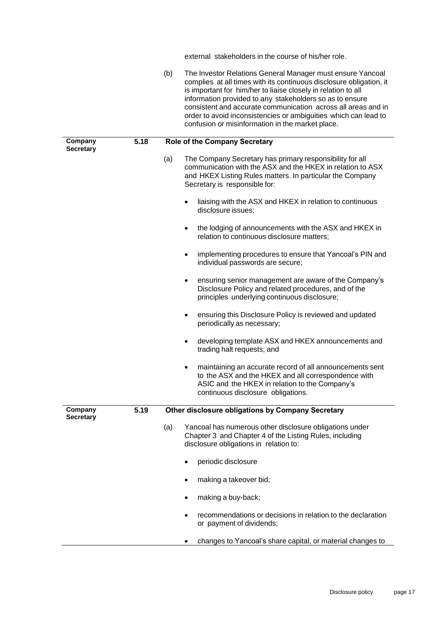external stakeholders in the course of his/her role. (b) The Investor Relations General Manager must ensure Yancoal complies at all times with its continuous disclosure obligation, it is important for him/her to liaise closely in relation to all information provided to any stakeholders so as to ensure consistent and accurate communication across all areas and in order to avoid inconsistencies or ambiguities which can lead to confusion or misinformation in the market place. **Company Secretary 5.18 Role of the Company Secretary** (a) The Company Secretary has primary responsibility for all communication with the ASX and the HKEX in relation to ASX and HKEX Listing Rules matters. In particular the Company Secretary is responsible for: • liaising with the ASX and HKEX in relation to continuous disclosure issues; • the lodging of announcements with the ASX and HKEX in relation to continuous disclosure matters; • implementing procedures to ensure that Yancoal's PIN and individual passwords are secure; • ensuring senior management are aware of the Company's Disclosure Policy and related procedures, and of the principles underlying continuous disclosure; ensuring this Disclosure Policy is reviewed and updated periodically as necessary; • developing template ASX and HKEX announcements and trading halt requests; and • maintaining an accurate record of all announcements sent to the ASX and the HKEX and all correspondence with ASIC and the HKEX in relation to the Company's continuous disclosure obligations. **Company Secretary 5.19 Other disclosure obligations by Company Secretary** (a) Yancoal has numerous other disclosure obligations under Chapter 3 and Chapter 4 of the Listing Rules, including disclosure obligations in relation to: • periodic disclosure making a takeover bid: making a buy-back; • recommendations or decisions in relation to the declaration or payment of dividends; • changes to Yancoal's share capital, or material changes to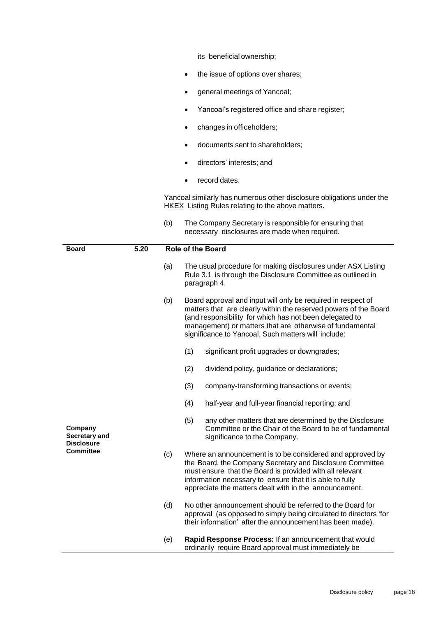its beneficial ownership;

- the issue of options over shares;
- general meetings of Yancoal;
- Yancoal's registered office and share register;
- changes in officeholders;
- documents sent to shareholders;
- directors' interests; and
- record dates.

Yancoal similarly has numerous other disclosure obligations under the HKEX Listing Rules relating to the above matters.

|                                               |      | (b) | The Company Secretary is responsible for ensuring that<br>necessary disclosures are made when required.                                                                                                                                                                                                        |
|-----------------------------------------------|------|-----|----------------------------------------------------------------------------------------------------------------------------------------------------------------------------------------------------------------------------------------------------------------------------------------------------------------|
| <b>Board</b>                                  | 5.20 |     | <b>Role of the Board</b>                                                                                                                                                                                                                                                                                       |
|                                               |      | (a) | The usual procedure for making disclosures under ASX Listing<br>Rule 3.1 is through the Disclosure Committee as outlined in<br>paragraph 4.                                                                                                                                                                    |
|                                               |      | (b) | Board approval and input will only be required in respect of<br>matters that are clearly within the reserved powers of the Board<br>(and responsibility for which has not been delegated to<br>management) or matters that are otherwise of fundamental<br>significance to Yancoal. Such matters will include: |
|                                               |      |     | (1)<br>significant profit upgrades or downgrades;                                                                                                                                                                                                                                                              |
|                                               |      |     | (2)<br>dividend policy, guidance or declarations;                                                                                                                                                                                                                                                              |
|                                               |      |     | (3)<br>company-transforming transactions or events;                                                                                                                                                                                                                                                            |
|                                               |      |     | (4)<br>half-year and full-year financial reporting; and                                                                                                                                                                                                                                                        |
| Company<br>Secretary and<br><b>Disclosure</b> |      |     | (5)<br>any other matters that are determined by the Disclosure<br>Committee or the Chair of the Board to be of fundamental<br>significance to the Company.                                                                                                                                                     |
| <b>Committee</b>                              |      | (c) | Where an announcement is to be considered and approved by<br>the Board, the Company Secretary and Disclosure Committee<br>must ensure that the Board is provided with all relevant<br>information necessary to ensure that it is able to fully<br>appreciate the matters dealt with in the announcement.       |
|                                               |      | (d) | No other announcement should be referred to the Board for<br>approval (as opposed to simply being circulated to directors 'for<br>their information' after the announcement has been made).                                                                                                                    |
|                                               |      | (e) | Rapid Response Process: If an announcement that would<br>ordinarily require Board approval must immediately be                                                                                                                                                                                                 |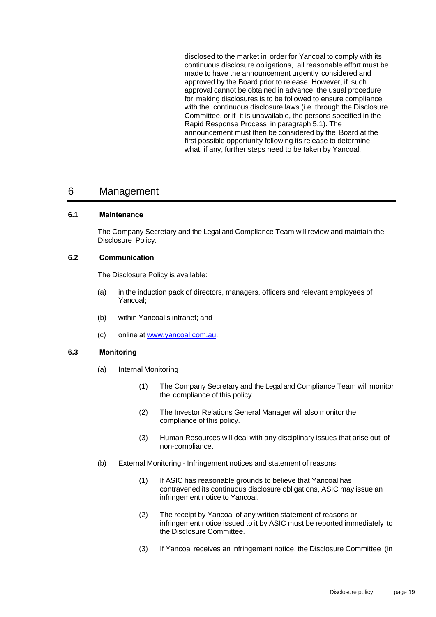disclosed to the market in order for Yancoal to comply with its continuous disclosure obligations, all reasonable effort must be made to have the announcement urgently considered and approved by the Board prior to release. However, if such approval cannot be obtained in advance, the usual procedure for making disclosures is to be followed to ensure compliance with the continuous disclosure laws (i.e. through the Disclosure Committee, or if it is unavailable, the persons specified in the Rapid Response Process in paragraph [5.1\)](#page-10-1). The announcement must then be considered by the Board at the first possible opportunity following its release to determine what, if any, further steps need to be taken by Yancoal.

### <span id="page-20-0"></span>6 Management

#### <span id="page-20-1"></span>**6.1 Maintenance**

The Company Secretary and the Legal and Compliance Team will review and maintain the Disclosure Policy.

#### <span id="page-20-2"></span>**6.2 Communication**

The Disclosure Policy is available:

- (a) in the induction pack of directors, managers, officers and relevant employees of Yancoal;
- (b) within Yancoal's intranet; and
- (c) online at www.yancoal.com.au.

#### <span id="page-20-3"></span>**6.3 Monitoring**

- (a) Internal Monitoring
	- (1) The Company Secretary and the Legal and Compliance Team will monitor the compliance of this policy.
	- (2) The Investor Relations General Manager will also monitor the compliance of this policy.
	- (3) Human Resources will deal with any disciplinary issues that arise out of non-compliance.
- <span id="page-20-4"></span>(b) External Monitoring - Infringement notices and statement of reasons
	- (1) If ASIC has reasonable grounds to believe that Yancoal has contravened its continuous disclosure obligations, ASIC may issue an infringement notice to Yancoal.
	- (2) The receipt by Yancoal of any written statement of reasons or infringement notice issued to it by ASIC must be reported immediately to the Disclosure Committee.
	- (3) If Yancoal receives an infringement notice, the Disclosure Committee (in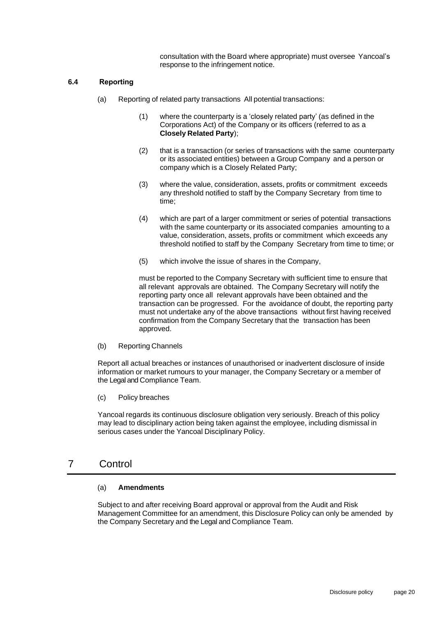consultation with the Board where appropriate) must oversee Yancoal's response to the infringement notice.

#### <span id="page-21-0"></span>**6.4 Reporting**

- (a) Reporting of related party transactions All potential transactions:
	- (1) where the counterparty is a 'closely related party' (as defined in the Corporations Act) of the Company or its officers (referred to as a **Closely Related Party**);
	- (2) that is a transaction (or series of transactions with the same counterparty or its associated entities) between a Group Company and a person or company which is a Closely Related Party;
	- (3) where the value, consideration, assets, profits or commitment exceeds any threshold notified to staff by the Company Secretary from time to time;
	- (4) which are part of a larger commitment or series of potential transactions with the same counterparty or its associated companies amounting to a value, consideration, assets, profits or commitment which exceeds any threshold notified to staff by the Company Secretary from time to time; or
	- (5) which involve the issue of shares in the Company,

must be reported to the Company Secretary with sufficient time to ensure that all relevant approvals are obtained. The Company Secretary will notify the reporting party once all relevant approvals have been obtained and the transaction can be progressed. For the avoidance of doubt, the reporting party must not undertake any of the above transactions without first having received confirmation from the Company Secretary that the transaction has been approved.

(b) Reporting Channels

Report all actual breaches or instances of unauthorised or inadvertent disclosure of inside information or market rumours to your manager, the Company Secretary or a member of the Legal and Compliance Team.

(c) Policy breaches

Yancoal regards its continuous disclosure obligation very seriously. Breach of this policy may lead to disciplinary action being taken against the employee, including dismissal in serious cases under the Yancoal Disciplinary Policy.

## <span id="page-21-1"></span>7 Control

#### (a) **Amendments**

Subject to and after receiving Board approval or approval from the Audit and Risk Management Committee for an amendment, this Disclosure Policy can only be amended by the Company Secretary and the Legal and Compliance Team.